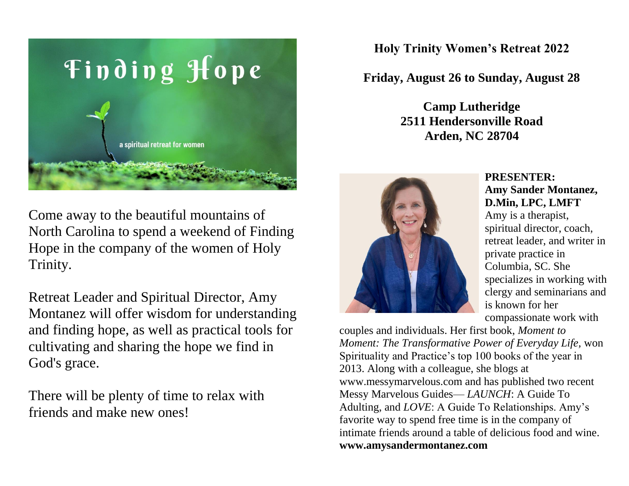

Come away to the beautiful mountains of North Carolina to spend a weekend of Finding Hope in the company of the women of Holy Trinity.

Retreat Leader and Spiritual Director, Amy Montanez will offer wisdom for understanding and finding hope, as well as practical tools for cultivating and sharing the hope we find in God's grace.

There will be plenty of time to relax with friends and make new ones!

**Holy Trinity Women's Retreat 2022**

**Friday, August 26 to Sunday, August 28**

**Camp Lutheridge 2511 Hendersonville Road Arden, NC 28704**



### **PRESENTER: Amy Sander Montanez, D.Min, LPC, LMFT**

Amy is a therapist, spiritual director, coach, retreat leader, and writer in private practice in Columbia, SC. She specializes in working with clergy and seminarians and is known for her compassionate work with

couples and individuals. Her first book, *Moment to Moment: The Transformative Power of Everyday Life,* won Spirituality and Practice's top 100 books of the year in 2013. Along with a colleague, she blogs at www.messymarvelous.com and has published two recent Messy Marvelous Guides— *LAUNCH*: A Guide To Adulting, and *LOVE*: A Guide To Relationships. Amy's favorite way to spend free time is in the company of intimate friends around a table of delicious food and wine. **www.amysandermontanez.com**